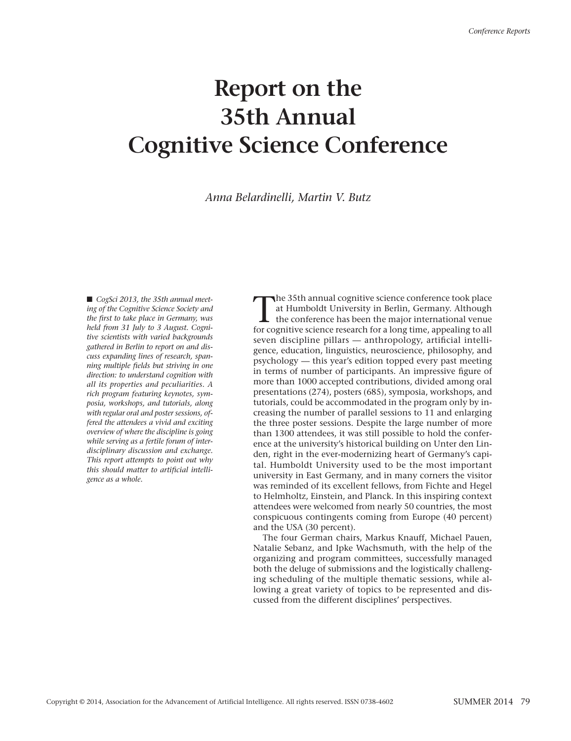## **Report on the 35th Annual Cognitive Science Conference**

*Anna Belardinelli, Martin V. Butz*

■ *CogSci 2013, the 35th annual meeting of the Cognitive Science Society and the first to take place in Germany, was held from 31 July to 3 August. Cognitive scientists with varied backgrounds gathered in Berlin to report on and discuss expanding lines of research, spanning multiple fields but striving in one direction: to understand cognition with all its properties and peculiarities. A rich program featuring keynotes, symposia, workshops, and tutorials, along with regular oral and poster sessions, offered the attendees a vivid and exciting overview of where the discipline is going while serving as a fertile forum of interdisciplinary discussion and exchange. This report attempts to point out why this should matter to artificial intelligence as a whole.*

The 35th annual cognitive science conference took place<br>at Humboldt University in Berlin, Germany. Although<br>the conference has been the major international venue<br>for cognitive science research for a long time, appealing to at Humboldt University in Berlin, Germany. Although for cognitive science research for a long time, appealing to all seven discipline pillars — anthropology, artificial intelligence, education, linguistics, neuroscience, philosophy, and psychology — this year's edition topped every past meeting in terms of number of participants. An impressive figure of more than 1000 accepted contributions, divided among oral presentations (274), posters (685), symposia, workshops, and tutorials, could be accommodated in the program only by increasing the number of parallel sessions to 11 and enlarging the three poster sessions. Despite the large number of more than 1300 attendees, it was still possible to hold the conference at the university's historical building on Unter den Linden, right in the ever-modernizing heart of Germany's capital. Humboldt University used to be the most important university in East Germany, and in many corners the visitor was reminded of its excellent fellows, from Fichte and Hegel to Helmholtz, Einstein, and Planck. In this inspiring context attendees were welcomed from nearly 50 countries, the most conspicuous contingents coming from Europe (40 percent) and the USA (30 percent).

The four German chairs, Markus Knauff, Michael Pauen, Natalie Sebanz, and Ipke Wachsmuth, with the help of the organizing and program committees, successfully managed both the deluge of submissions and the logistically challenging scheduling of the multiple thematic sessions, while allowing a great variety of topics to be represented and discussed from the different disciplines' perspectives.